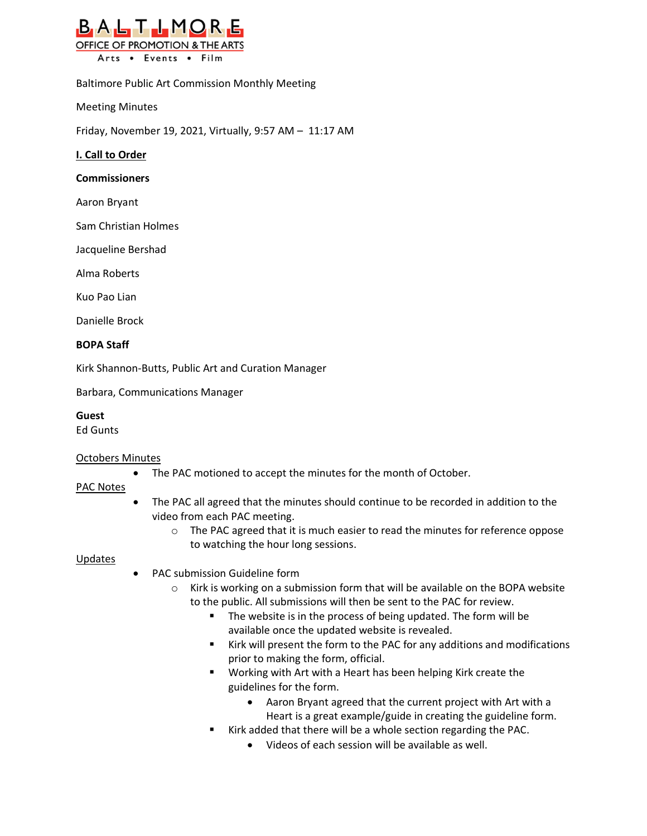

Baltimore Public Art Commission Monthly Meeting

Meeting Minutes

Friday, November 19, 2021, Virtually, 9:57 AM – 11:17 AM

#### **I. Call to Order**

#### **Commissioners**

Aaron Bryant

Sam Christian Holmes

Jacqueline Bershad

Alma Roberts

Kuo Pao Lian

Danielle Brock

# **BOPA Staff**

Kirk Shannon-Butts, Public Art and Curation Manager

Barbara, Communications Manager

# **Guest**

Ed Gunts

# Octobers Minutes

• The PAC motioned to accept the minutes for the month of October.

# PAC Notes

- The PAC all agreed that the minutes should continue to be recorded in addition to the video from each PAC meeting.
	- o The PAC agreed that it is much easier to read the minutes for reference oppose to watching the hour long sessions.

#### Updates

- PAC submission Guideline form
	- $\circ$  Kirk is working on a submission form that will be available on the BOPA website to the public. All submissions will then be sent to the PAC for review.
		- The website is in the process of being updated. The form will be available once the updated website is revealed.
		- Kirk will present the form to the PAC for any additions and modifications prior to making the form, official.
		- Working with Art with a Heart has been helping Kirk create the guidelines for the form.
			- Aaron Bryant agreed that the current project with Art with a Heart is a great example/guide in creating the guideline form.
		- Kirk added that there will be a whole section regarding the PAC.
			- Videos of each session will be available as well.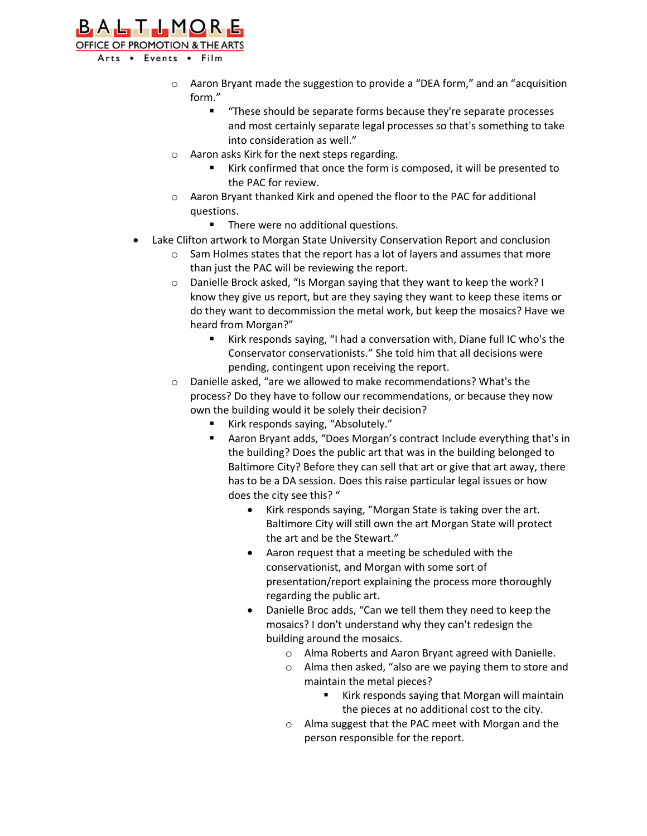

- $\circ$  Aaron Bryant made the suggestion to provide a "DEA form," and an "acquisition form."
	- "These should be separate forms because they're separate processes and most certainly separate legal processes so that's something to take into consideration as well."
- o Aaron asks Kirk for the next steps regarding.
	- Kirk confirmed that once the form is composed, it will be presented to the PAC for review.
- o Aaron Bryant thanked Kirk and opened the floor to the PAC for additional questions.
	- There were no additional questions.
- Lake Clifton artwork to Morgan State University Conservation Report and conclusion
	- o Sam Holmes states that the report has a lot of layers and assumes that more than just the PAC will be reviewing the report.
	- o Danielle Brock asked, "Is Morgan saying that they want to keep the work? I know they give us report, but are they saying they want to keep these items or do they want to decommission the metal work, but keep the mosaics? Have we heard from Morgan?"
		- Kirk responds saying, "I had a conversation with, Diane full IC who's the Conservator conservationists." She told him that all decisions were pending, contingent upon receiving the report.
	- o Danielle asked, "are we allowed to make recommendations? What's the process? Do they have to follow our recommendations, or because they now own the building would it be solely their decision?
		- Kirk responds saying, "Absolutely."
		- Aaron Bryant adds, "Does Morgan's contract Include everything that's in the building? Does the public art that was in the building belonged to Baltimore City? Before they can sell that art or give that art away, there has to be a DA session. Does this raise particular legal issues or how does the city see this? "
			- Kirk responds saying, "Morgan State is taking over the art. Baltimore City will still own the art Morgan State will protect the art and be the Stewart."
			- Aaron request that a meeting be scheduled with the conservationist, and Morgan with some sort of presentation/report explaining the process more thoroughly regarding the public art.
			- Danielle Broc adds, "Can we tell them they need to keep the mosaics? I don't understand why they can't redesign the building around the mosaics.
				- o Alma Roberts and Aaron Bryant agreed with Danielle.
				- o Alma then asked, "also are we paying them to store and maintain the metal pieces?
					- Kirk responds saying that Morgan will maintain the pieces at no additional cost to the city.
				- o Alma suggest that the PAC meet with Morgan and the person responsible for the report.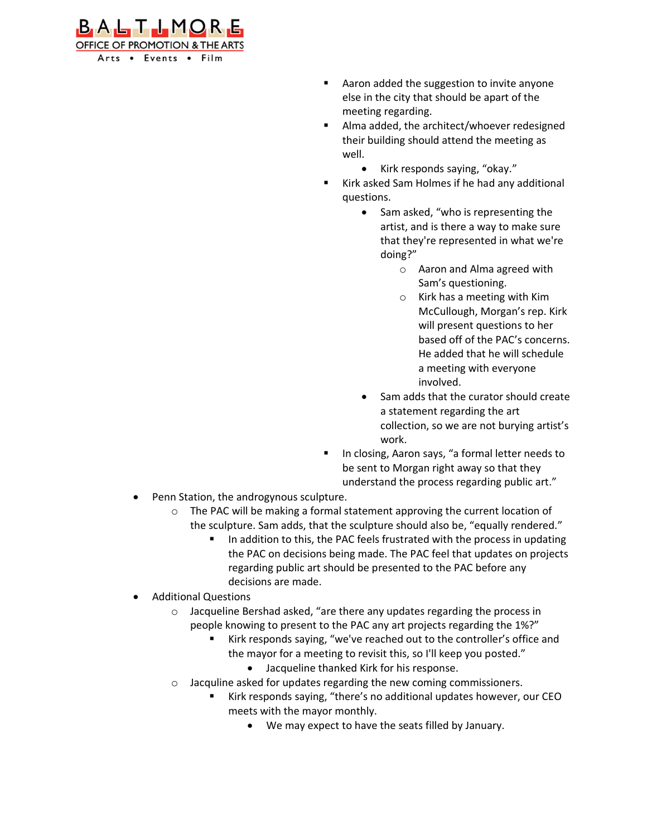

- Aaron added the suggestion to invite anyone else in the city that should be apart of the meeting regarding.
- Alma added, the architect/whoever redesigned their building should attend the meeting as well.
	- Kirk responds saying, "okay."
- Kirk asked Sam Holmes if he had any additional questions.
	- Sam asked, "who is representing the artist, and is there a way to make sure that they're represented in what we're doing?"
		- o Aaron and Alma agreed with Sam's questioning.
		- o Kirk has a meeting with Kim McCullough, Morgan's rep. Kirk will present questions to her based off of the PAC's concerns. He added that he will schedule a meeting with everyone involved.
	- Sam adds that the curator should create a statement regarding the art collection, so we are not burying artist's work.
- In closing, Aaron says, "a formal letter needs to be sent to Morgan right away so that they understand the process regarding public art."
- Penn Station, the androgynous sculpture.
	- The PAC will be making a formal statement approving the current location of the sculpture. Sam adds, that the sculpture should also be, "equally rendered."
		- In addition to this, the PAC feels frustrated with the process in updating the PAC on decisions being made. The PAC feel that updates on projects regarding public art should be presented to the PAC before any decisions are made.
- Additional Questions
	- o Jacqueline Bershad asked, "are there any updates regarding the process in people knowing to present to the PAC any art projects regarding the 1%?"
		- Kirk responds saying, "we've reached out to the controller's office and the mayor for a meeting to revisit this, so I'll keep you posted."
			- Jacqueline thanked Kirk for his response.
	- o Jacquline asked for updates regarding the new coming commissioners.
		- Kirk responds saying, "there's no additional updates however, our CEO meets with the mayor monthly.
			- We may expect to have the seats filled by January.